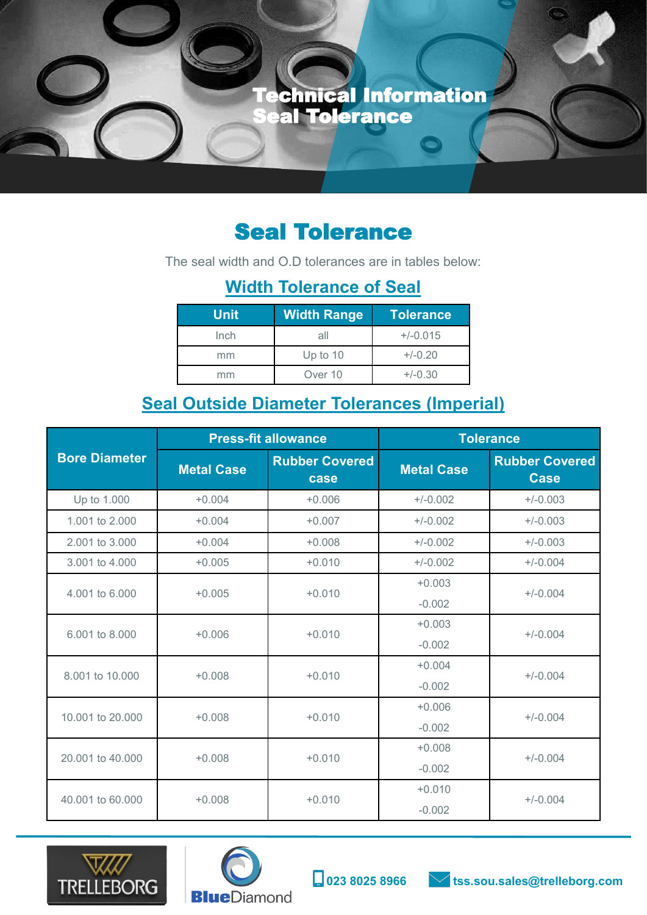Technical Information Seal Tolerance

## Seal Tolerance

The seal width and O.D tolerances are in tables below:

## **Width Tolerance of Seal**

| <b>Unit</b> | <b>Width Range</b> | <b>Tolerance</b> |
|-------------|--------------------|------------------|
| Inch        | all                | $+/-0.015$       |
| mm          | Up to $10$         | $+/-0.20$        |
| mm          | Over 10            | $+/-0.30$        |

## **Seal Outside Diameter Tolerances (Imperial)**

|                              | <b>Press-fit allowance</b> |                               | <b>Tolerance</b>  |                                      |
|------------------------------|----------------------------|-------------------------------|-------------------|--------------------------------------|
| <b>Bore Diameter</b>         | <b>Metal Case</b>          | <b>Rubber Covered</b><br>case | <b>Metal Case</b> | <b>Rubber Covered</b><br><b>Case</b> |
| Up to 1.000                  | $+0.004$                   | $+0.006$                      | $+/-0.002$        | $+/-0.003$                           |
| 1.001 to 2.000               | $+0.004$                   | $+0.007$                      | $+/-0.002$        | $+/-0.003$                           |
| 2.001 to 3.000               | $+0.004$                   | $+0.008$                      | $+/-0.002$        | $+/-0.003$                           |
| 3.001 to 4.000               | $+0.005$                   | $+0.010$                      | $+/-0.002$        | $+/-0.004$                           |
| 4.001 to 6.000               | $+0.005$                   | $+0.010$                      | $+0.003$          | $+/-0.004$                           |
|                              |                            |                               | $-0.002$          |                                      |
| 6.001 to 8.000<br>$+0.006$   |                            | $+0.010$                      | $+0.003$          | $+/-0.004$                           |
|                              |                            |                               | $-0.002$          |                                      |
| 8.001 to 10.000              | $+0.008$                   | $+0.010$                      | $+0.004$          | $+/-0.004$                           |
|                              |                            |                               | $-0.002$          |                                      |
| 10.001 to 20.000             | $+0.008$                   | $+0.010$                      | $+0.006$          | $+/-0.004$                           |
|                              |                            |                               | $-0.002$          |                                      |
| 20.001 to 40.000<br>$+0.008$ | $+0.010$                   | $+0.008$                      | $+/-0.004$        |                                      |
|                              |                            |                               | $-0.002$          |                                      |
| 40.001 to 60.000             | $+0.008$                   | $+0.010$                      | $+0.010$          | $+/-0.004$                           |
|                              |                            |                               | $-0.002$          |                                      |